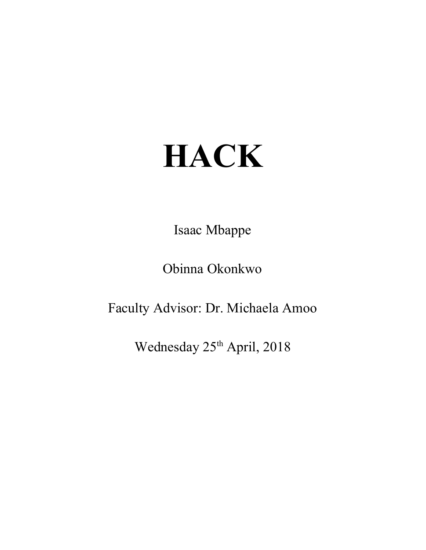# **HACK**

Isaac Mbappe

Obinna Okonkwo

Faculty Advisor: Dr. Michaela Amoo

Wednesday 25<sup>th</sup> April, 2018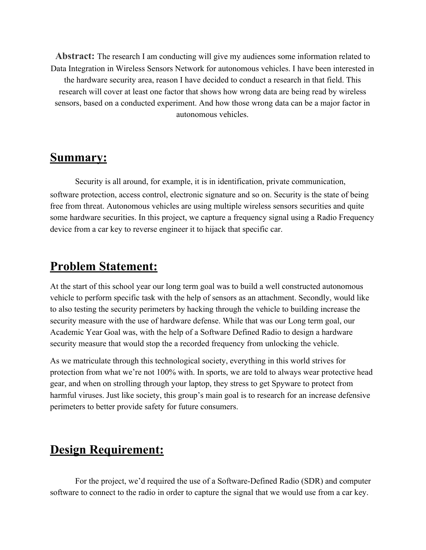**Abstract:** The research I am conducting will give my audiences some information related to Data Integration in Wireless Sensors Network for autonomous vehicles. I have been interested in the hardware security area, reason I have decided to conduct a research in that field. This research will cover at least one factor that shows how wrong data are being read by wireless sensors, based on a conducted experiment. And how those wrong data can be a major factor in autonomous vehicles.

#### **Summary:**

Security is all around, for example, it is in identification, private communication, software protection, access control, electronic signature and so on. Security is the state of being free from threat. Autonomous vehicles are using multiple wireless sensors securities and quite some hardware securities. In this project, we capture a frequency signal using a Radio Frequency device from a car key to reverse engineer it to hijack that specific car.

### **Problem Statement:**

At the start of this school year our long term goal was to build a well constructed autonomous vehicle to perform specific task with the help of sensors as an attachment. Secondly, would like to also testing the security perimeters by hacking through the vehicle to building increase the security measure with the use of hardware defense. While that was our Long term goal, our Academic Year Goal was, with the help of a Software Defined Radio to design a hardware security measure that would stop the a recorded frequency from unlocking the vehicle.

As we matriculate through this technological society, everything in this world strives for protection from what we're not 100% with. In sports, we are told to always wear protective head gear, and when on strolling through your laptop, they stress to get Spyware to protect from harmful viruses. Just like society, this group's main goal is to research for an increase defensive perimeters to better provide safety for future consumers.

## **Design Requirement:**

For the project, we'd required the use of a Software-Defined Radio (SDR) and computer software to connect to the radio in order to capture the signal that we would use from a car key.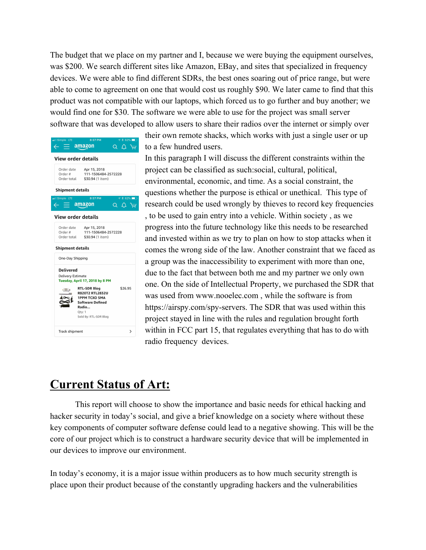The budget that we place on my partner and I, because we were buying the equipment ourselves, was \$200. We search different sites like Amazon, EBay, and sites that specialized in frequency devices. We were able to find different SDRs, the best ones soaring out of price range, but were able to come to agreement on one that would cost us roughly \$90. We later came to find that this product was not compatible with our laptops, which forced us to go further and buy another; we would find one for \$30. The software we were able to use for the project was small server software that was developed to allow users to share their radios over the internet or simply over



their own remote shacks, which works with just a single user or up to a few hundred users.

In this paragraph I will discuss the different constraints within the project can be classified as such:social, cultural, political, environmental, economic, and time. As a social constraint, the questions whether the purpose is ethical or unethical. This type of research could be used wrongly by thieves to record key frequencies , to be used to gain entry into a vehicle. Within society , as we progress into the future technology like this needs to be researched and invested within as we try to plan on how to stop attacks when it comes the wrong side of the law. Another constraint that we faced as a group was the inaccessibility to experiment with more than one, due to the fact that between both me and my partner we only own one. On the side of Intellectual Property, we purchased the SDR that was used from www.nooelec.com , while the software is from https://airspy.com/spy-servers. The SDR that was used within this project stayed in line with the rules and regulation brought forth within in FCC part 15, that regulates everything that has to do with radio frequency devices.

## **Current Status of Art:**

This report will choose to show the importance and basic needs for ethical hacking and hacker security in today's social, and give a brief knowledge on a society where without these key components of computer software defense could lead to a negative showing. This will be the core of our project which is to construct a hardware security device that will be implemented in our devices to improve our environment.

In today's economy, it is a major issue within producers as to how much security strength is place upon their product because of the constantly upgrading hackers and the vulnerabilities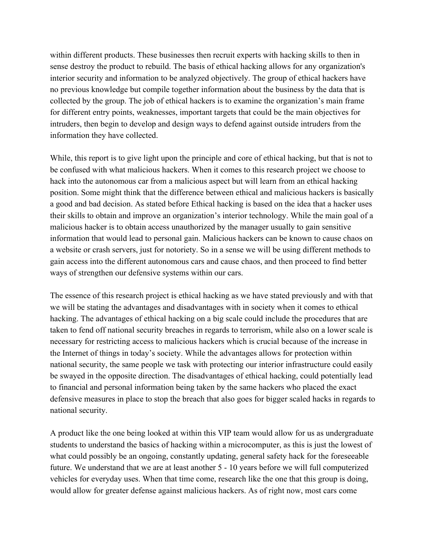within different products. These businesses then recruit experts with hacking skills to then in sense destroy the product to rebuild. The basis of ethical hacking allows for any organization's interior security and information to be analyzed objectively. The group of ethical hackers have no previous knowledge but compile together information about the business by the data that is collected by the group. The job of ethical hackers is to examine the organization's main frame for different entry points, weaknesses, important targets that could be the main objectives for intruders, then begin to develop and design ways to defend against outside intruders from the information they have collected.

While, this report is to give light upon the principle and core of ethical hacking, but that is not to be confused with what malicious hackers. When it comes to this research project we choose to hack into the autonomous car from a malicious aspect but will learn from an ethical hacking position. Some might think that the difference between ethical and malicious hackers is basically a good and bad decision. As stated before Ethical hacking is based on the idea that a hacker uses their skills to obtain and improve an organization's interior technology. While the main goal of a malicious hacker is to obtain access unauthorized by the manager usually to gain sensitive information that would lead to personal gain. Malicious hackers can be known to cause chaos on a website or crash servers, just for notoriety. So in a sense we will be using different methods to gain access into the different autonomous cars and cause chaos, and then proceed to find better ways of strengthen our defensive systems within our cars.

The essence of this research project is ethical hacking as we have stated previously and with that we will be stating the advantages and disadvantages with in society when it comes to ethical hacking. The advantages of ethical hacking on a big scale could include the procedures that are taken to fend off national security breaches in regards to terrorism, while also on a lower scale is necessary for restricting access to malicious hackers which is crucial because of the increase in the Internet of things in today's society. While the advantages allows for protection within national security, the same people we task with protecting our interior infrastructure could easily be swayed in the opposite direction. The disadvantages of ethical hacking, could potentially lead to financial and personal information being taken by the same hackers who placed the exact defensive measures in place to stop the breach that also goes for bigger scaled hacks in regards to national security.

A product like the one being looked at within this VIP team would allow for us as undergraduate students to understand the basics of hacking within a microcomputer, as this is just the lowest of what could possibly be an ongoing, constantly updating, general safety hack for the foreseeable future. We understand that we are at least another 5 - 10 years before we will full computerized vehicles for everyday uses. When that time come, research like the one that this group is doing, would allow for greater defense against malicious hackers. As of right now, most cars come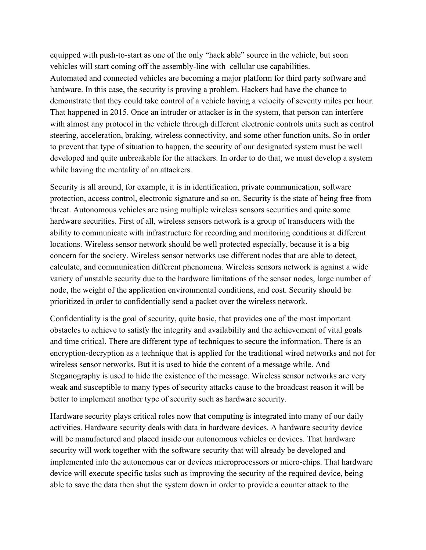equipped with push-to-start as one of the only "hack able" source in the vehicle, but soon vehicles will start coming off the assembly-line with cellular use capabilities. Automated and connected vehicles are becoming a major platform for third party software and hardware. In this case, the security is proving a problem. Hackers had have the chance to demonstrate that they could take control of a vehicle having a velocity of seventy miles per hour. That happened in 2015. Once an intruder or attacker is in the system, that person can interfere with almost any protocol in the vehicle through different electronic controls units such as control steering, acceleration, braking, wireless connectivity, and some other function units. So in order to prevent that type of situation to happen, the security of our designated system must be well developed and quite unbreakable for the attackers. In order to do that, we must develop a system while having the mentality of an attackers.

Security is all around, for example, it is in identification, private communication, software protection, access control, electronic signature and so on. Security is the state of being free from threat. Autonomous vehicles are using multiple wireless sensors securities and quite some hardware securities. First of all, wireless sensors network is a group of transducers with the ability to communicate with infrastructure for recording and monitoring conditions at different locations. Wireless sensor network should be well protected especially, because it is a big concern for the society. Wireless sensor networks use different nodes that are able to detect, calculate, and communication different phenomena. Wireless sensors network is against a wide variety of unstable security due to the hardware limitations of the sensor nodes, large number of node, the weight of the application environmental conditions, and cost. Security should be prioritized in order to confidentially send a packet over the wireless network.

Confidentiality is the goal of security, quite basic, that provides one of the most important obstacles to achieve to satisfy the integrity and availability and the achievement of vital goals and time critical. There are different type of techniques to secure the information. There is an encryption-decryption as a technique that is applied for the traditional wired networks and not for wireless sensor networks. But it is used to hide the content of a message while. And Steganography is used to hide the existence of the message. Wireless sensor networks are very weak and susceptible to many types of security attacks cause to the broadcast reason it will be better to implement another type of security such as hardware security.

Hardware security plays critical roles now that computing is integrated into many of our daily activities. Hardware security deals with data in hardware devices. A hardware security device will be manufactured and placed inside our autonomous vehicles or devices. That hardware security will work together with the software security that will already be developed and implemented into the autonomous car or devices microprocessors or micro-chips. That hardware device will execute specific tasks such as improving the security of the required device, being able to save the data then shut the system down in order to provide a counter attack to the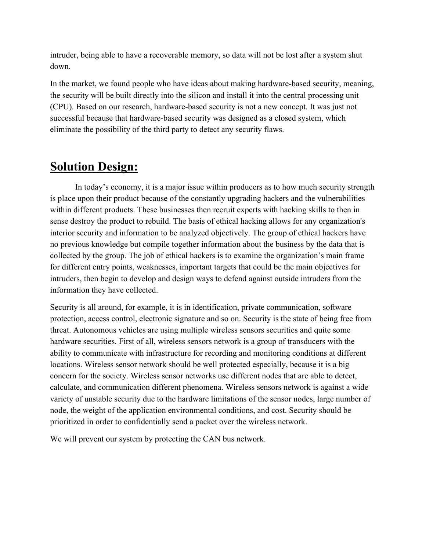intruder, being able to have a recoverable memory, so data will not be lost after a system shut down.

In the market, we found people who have ideas about making hardware-based security, meaning, the security will be built directly into the silicon and install it into the central processing unit (CPU). Based on our research, hardware-based security is not a new concept. It was just not successful because that hardware-based security was designed as a closed system, which eliminate the possibility of the third party to detect any security flaws.

## **Solution Design:**

In today's economy, it is a major issue within producers as to how much security strength is place upon their product because of the constantly upgrading hackers and the vulnerabilities within different products. These businesses then recruit experts with hacking skills to then in sense destroy the product to rebuild. The basis of ethical hacking allows for any organization's interior security and information to be analyzed objectively. The group of ethical hackers have no previous knowledge but compile together information about the business by the data that is collected by the group. The job of ethical hackers is to examine the organization's main frame for different entry points, weaknesses, important targets that could be the main objectives for intruders, then begin to develop and design ways to defend against outside intruders from the information they have collected.

Security is all around, for example, it is in identification, private communication, software protection, access control, electronic signature and so on. Security is the state of being free from threat. Autonomous vehicles are using multiple wireless sensors securities and quite some hardware securities. First of all, wireless sensors network is a group of transducers with the ability to communicate with infrastructure for recording and monitoring conditions at different locations. Wireless sensor network should be well protected especially, because it is a big concern for the society. Wireless sensor networks use different nodes that are able to detect, calculate, and communication different phenomena. Wireless sensors network is against a wide variety of unstable security due to the hardware limitations of the sensor nodes, large number of node, the weight of the application environmental conditions, and cost. Security should be prioritized in order to confidentially send a packet over the wireless network.

We will prevent our system by protecting the CAN bus network.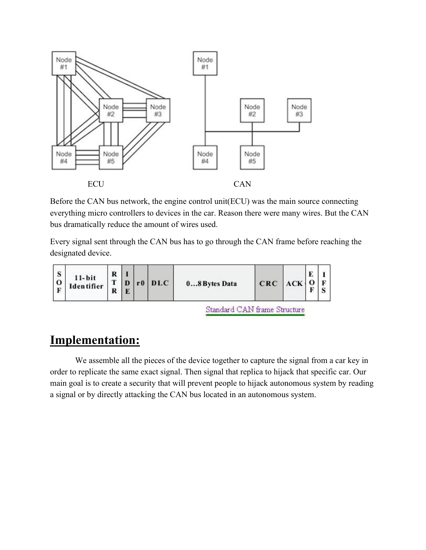

Before the CAN bus network, the engine control unit(ECU) was the main source connecting everything micro controllers to devices in the car. Reason there were many wires. But the CAN bus dramatically reduce the amount of wires used.

Every signal sent through the CAN bus has to go through the CAN frame before reaching the designated device.



# **Implementation:**

We assemble all the pieces of the device together to capture the signal from a car key in order to replicate the same exact signal. Then signal that replica to hijack that specific car. Our main goal is to create a security that will prevent people to hijack autonomous system by reading a signal or by directly attacking the CAN bus located in an autonomous system.